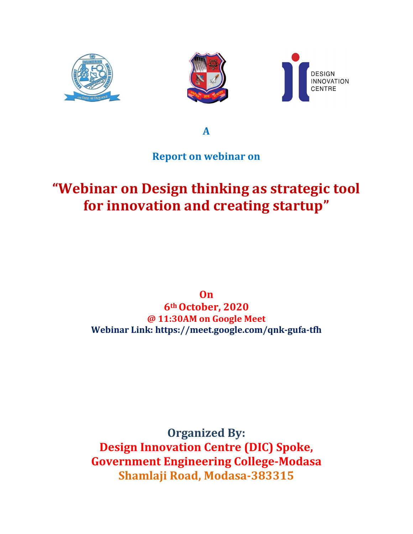

**A**

#### **Report on webinar on**

# **"Webinar on Design thinking as strategic tool for innovation and creating startup"**

**On 6thOctober, 2020 @ 11:30AM on Google Meet Webinar Link: <https://meet.google.com/qnk-gufa-tfh>**

**Organized By: Design Innovation Centre (DIC) Spoke, Government Engineering College-Modasa Shamlaji Road, Modasa-383315**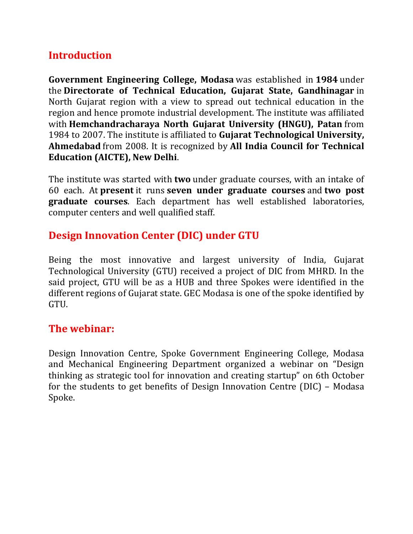### **Introduction**

**Government Engineering College, Modasa** was established in **1984** under the **Directorate of Technical Education, Gujarat State, Gandhinagar** in North Gujarat region with a view to spread out technical education in the region and hence promote industrial development. The institute was affiliated with **Hemchandracharaya North Gujarat University (HNGU), Patan** from 1984 to 2007. The institute is affiliated to **Gujarat Technological University, Ahmedabad** from 2008. It is recognized by **All India Council for Technical Education (AICTE), New Delhi**.

The institute was started with **two** under graduate courses, with an intake of 60 each. At **present** it runs **seven under graduate courses** and **two post graduate courses**. Each department has well established laboratories, computer centers and well qualified staff.

## **Design Innovation Center (DIC) under GTU**

Being the most innovative and largest university of India, Gujarat Technological University (GTU) received a project of DIC from MHRD. In the said project, GTU will be as a HUB and three Spokes were identified in the different regions of Gujarat state. GEC Modasa is one of the spoke identified by GTU.

#### **The webinar:**

Design Innovation Centre, Spoke Government Engineering College, Modasa and Mechanical Engineering Department organized a webinar on "Design thinking as strategic tool for innovation and creating startup" on 6th October for the students to get benefits of Design Innovation Centre (DIC) – Modasa Spoke.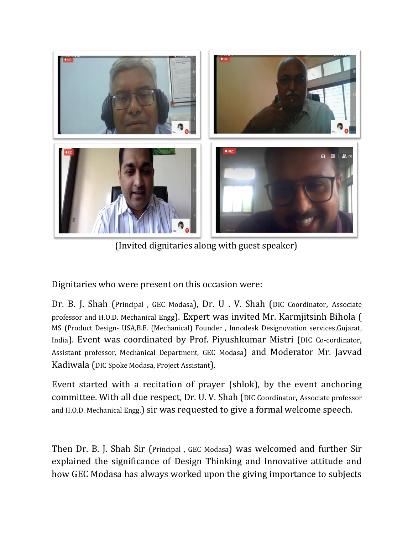

(Invited dignitaries along with guest speaker)

Dignitaries who were present on this occasion were:

Dr. B. J. Shah (Principal , GEC Modasa), Dr. U . V. Shah (DIC Coordinator, Associate professor and H.O.D. Mechanical Engg). Expert was invited Mr. Karmjitsinh Bihola ( MS (Product Design- USA,B.E. (Mechanical) Founder , Innodesk Designovation services,Gujarat, India). Event was coordinated by Prof. Piyushkumar Mistri (DIC Co-cordinator, Assistant professor, Mechanical Department, GEC Modasa) and Moderator Mr. Javvad Kadiwala (DIC Spoke Modasa, Project Assistant).

Event started with a recitation of prayer (shlok), by the event anchoring committee. With all due respect, Dr. U. V. Shah (DIC Coordinator, Associate professor and H.O.D. Mechanical Engg.) sir was requested to give a formal welcome speech.

Then Dr. B. J. Shah Sir (Principal , GEC Modasa) was welcomed and further Sir explained the significance of Design Thinking and Innovative attitude and how GEC Modasa has always worked upon the giving importance to subjects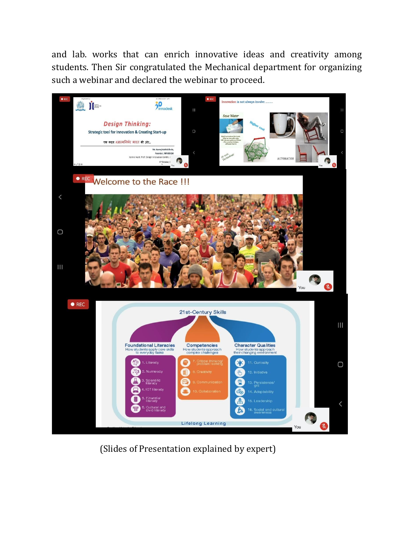and lab. works that can enrich innovative ideas and creativity among students. Then Sir congratulated the Mechanical department for organizing such a webinar and declared the webinar to proceed.



(Slides of Presentation explained by expert)